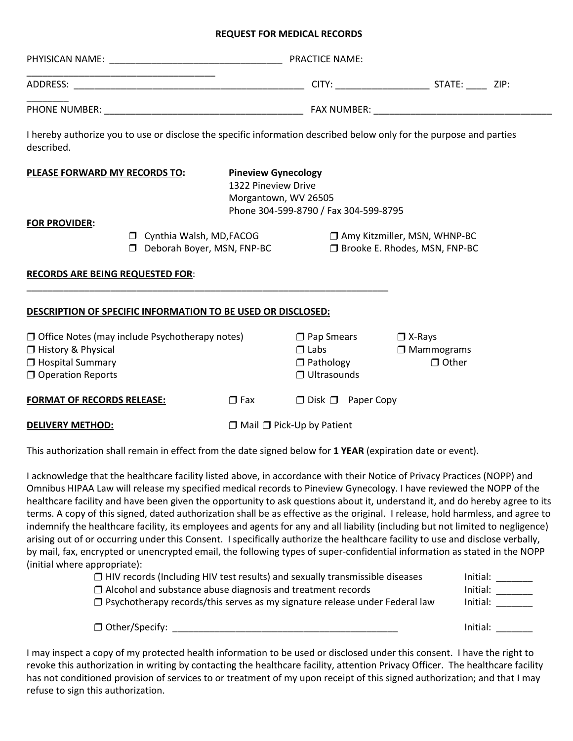## **REQUEST FOR MEDICAL RECORDS**

|                                                                                                                                   |  |                                                                                                                    | <b>PRACTICE NAME:</b> |                                                                        |  |  |  |
|-----------------------------------------------------------------------------------------------------------------------------------|--|--------------------------------------------------------------------------------------------------------------------|-----------------------|------------------------------------------------------------------------|--|--|--|
|                                                                                                                                   |  |                                                                                                                    |                       |                                                                        |  |  |  |
|                                                                                                                                   |  |                                                                                                                    |                       |                                                                        |  |  |  |
| I hereby authorize you to use or disclose the specific information described below only for the purpose and parties<br>described. |  |                                                                                                                    |                       |                                                                        |  |  |  |
| PLEASE FORWARD MY RECORDS TO:                                                                                                     |  | <b>Pineview Gynecology</b><br>1322 Pineview Drive<br>Morgantown, WV 26505<br>Phone 304-599-8790 / Fax 304-599-8795 |                       |                                                                        |  |  |  |
| <b>FOR PROVIDER:</b><br>Cynthia Walsh, MD, FACOG<br>Deborah Boyer, MSN, FNP-BC                                                    |  |                                                                                                                    |                       | $\Box$ Amy Kitzmiller, MSN, WHNP-BC<br>□ Brooke E. Rhodes, MSN, FNP-BC |  |  |  |
| <b>RECORDS ARE BEING REQUESTED FOR:</b>                                                                                           |  |                                                                                                                    |                       |                                                                        |  |  |  |

## **DESCRIPTION OF SPECIFIC INFORMATION TO BE USED OR DISCLOSED:**

| $\Box$ Office Notes (may include Psychotherapy notes) | $\square$ Pap Smears | $\Box$ X-Rays                         |  |
|-------------------------------------------------------|----------------------|---------------------------------------|--|
| □ History & Physical                                  | $\Box$ Labs          | $\Box$ Mammograms                     |  |
| $\Box$ Hospital Summary                               | $\Box$ Pathology     | $\Box$ Other                          |  |
| <b>O</b> Operation Reports                            |                      | $\Box$ Ultrasounds                    |  |
| <b>FORMAT OF RECORDS RELEASE:</b>                     | $\Box$ Fax           | $\Box$ Disk $\Box$ Paper Copy         |  |
| <b>DELIVERY METHOD:</b>                               |                      | $\Box$ Mail $\Box$ Pick-Up by Patient |  |

This authorization shall remain in effect from the date signed below for **1 YEAR** (expiration date or event).

I acknowledge that the healthcare facility listed above, in accordance with their Notice of Privacy Practices (NOPP) and Omnibus HIPAA Law will release my specified medical records to Pineview Gynecology. I have reviewed the NOPP of the healthcare facility and have been given the opportunity to ask questions about it, understand it, and do hereby agree to its terms. A copy of this signed, dated authorization shall be as effective as the original. I release, hold harmless, and agree to indemnify the healthcare facility, its employees and agents for any and all liability (including but not limited to negligence) arising out of or occurring under this Consent. I specifically authorize the healthcare facility to use and disclose verbally, by mail, fax, encrypted or unencrypted email, the following types of super-confidential information as stated in the NOPP (initial where appropriate):

| $\Box$ HIV records (Including HIV test results) and sexually transmissible diseases | Initial: |
|-------------------------------------------------------------------------------------|----------|
| $\Box$ Alcohol and substance abuse diagnosis and treatment records                  | Initial: |
| $\Box$ Psychotherapy records/this serves as my signature release under Federal law  | Initial: |
|                                                                                     |          |
| $\Box$ Other/Specify:                                                               | Initial: |

I may inspect a copy of my protected health information to be used or disclosed under this consent. I have the right to revoke this authorization in writing by contacting the healthcare facility, attention Privacy Officer. The healthcare facility has not conditioned provision of services to or treatment of my upon receipt of this signed authorization; and that I may refuse to sign this authorization.